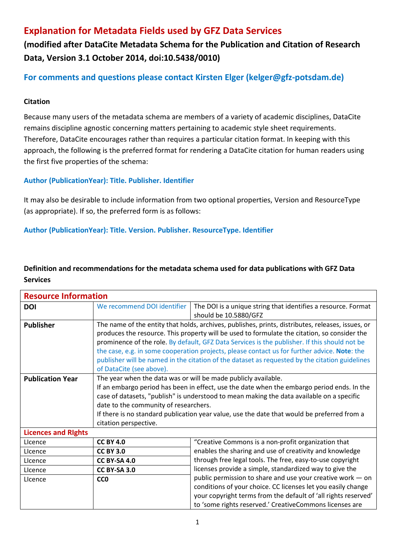# **Explanation for Metadata Fields used by GFZ Data Services**

**(modified after DataCite Metadata Schema for the Publication and Citation of Research Data, Version 3.1 October 2014, doi:10.5438/0010)**

# **For comments and questions please contact Kirsten Elger (kelger@gfz-potsdam.de)**

### **Citation**

Because many users of the metadata schema are members of a variety of academic disciplines, DataCite remains discipline agnostic concerning matters pertaining to academic style sheet requirements. Therefore, DataCite encourages rather than requires a particular citation format. In keeping with this approach, the following is the preferred format for rendering a DataCite citation for human readers using the first five properties of the schema:

### **Author (PublicationYear): Title. Publisher. Identifier**

It may also be desirable to include information from two optional properties, Version and ResourceType (as appropriate). If so, the preferred form is as follows:

#### **Author (PublicationYear): Title. Version. Publisher. ResourceType. Identifier**

## **Definition and recommendations for the metadata schema used for data publications with GFZ Data Services**

| <b>Resource Information</b> |                                                                                                                                                              |                                                                                                |  |
|-----------------------------|--------------------------------------------------------------------------------------------------------------------------------------------------------------|------------------------------------------------------------------------------------------------|--|
| <b>DOI</b>                  | We recommend DOI identifier                                                                                                                                  | The DOI is a unique string that identifies a resource. Format                                  |  |
|                             |                                                                                                                                                              | should be 10.5880/GFZ                                                                          |  |
| <b>Publisher</b>            | The name of the entity that holds, archives, publishes, prints, distributes, releases, issues, or                                                            |                                                                                                |  |
|                             | produces the resource. This property will be used to formulate the citation, so consider the                                                                 |                                                                                                |  |
|                             | prominence of the role. By default, GFZ Data Services is the publisher. If this should not be                                                                |                                                                                                |  |
|                             | the case, e.g. in some cooperation projects, please contact us for further advice. Note: the                                                                 |                                                                                                |  |
|                             |                                                                                                                                                              | publisher will be named in the citation of the dataset as requested by the citation guidelines |  |
|                             | of DataCite (see above).                                                                                                                                     |                                                                                                |  |
| <b>Publication Year</b>     | The year when the data was or will be made publicly available.<br>If an embargo period has been in effect, use the date when the embargo period ends. In the |                                                                                                |  |
|                             |                                                                                                                                                              |                                                                                                |  |
|                             |                                                                                                                                                              | case of datasets, "publish" is understood to mean making the data available on a specific      |  |
|                             | date to the community of researchers.                                                                                                                        |                                                                                                |  |
|                             |                                                                                                                                                              | If there is no standard publication year value, use the date that would be preferred from a    |  |
|                             | citation perspective.                                                                                                                                        |                                                                                                |  |
| <b>Licences and Rights</b>  |                                                                                                                                                              |                                                                                                |  |
| Licence                     | <b>CC BY 4.0</b>                                                                                                                                             | "Creative Commons is a non-profit organization that                                            |  |
| Licence                     | <b>CC BY 3.0</b>                                                                                                                                             | enables the sharing and use of creativity and knowledge                                        |  |
| Licence                     | <b>CC BY-SA 4.0</b>                                                                                                                                          | through free legal tools. The free, easy-to-use copyright                                      |  |
| Licence                     | <b>CC BY-SA 3.0</b>                                                                                                                                          | licenses provide a simple, standardized way to give the                                        |  |
| Licence                     | CC <sub>0</sub>                                                                                                                                              | public permission to share and use your creative work - on                                     |  |
|                             |                                                                                                                                                              | conditions of your choice. CC licenses let you easily change                                   |  |
|                             |                                                                                                                                                              | your copyright terms from the default of 'all rights reserved'                                 |  |
|                             |                                                                                                                                                              | to 'some rights reserved.' CreativeCommons licenses are                                        |  |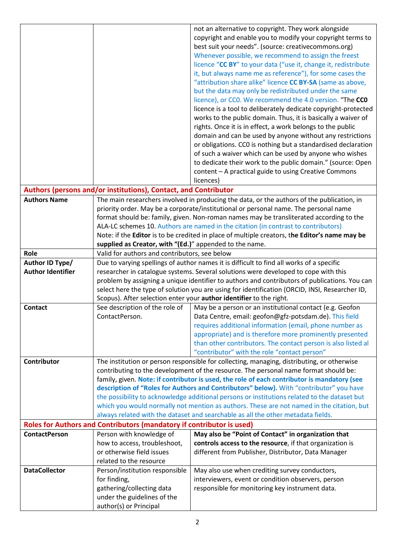|                          |                                                                                                   | not an alternative to copyright. They work alongside                                                 |  |
|--------------------------|---------------------------------------------------------------------------------------------------|------------------------------------------------------------------------------------------------------|--|
|                          |                                                                                                   | copyright and enable you to modify your copyright terms to                                           |  |
|                          |                                                                                                   | best suit your needs". (source: creativecommons.org)                                                 |  |
|                          |                                                                                                   | Whenever possible, we recommend to assign the freest                                                 |  |
|                          |                                                                                                   | licence "CC BY" to your data ("use it, change it, redistribute                                       |  |
|                          |                                                                                                   | it, but always name me as reference"), for some cases the                                            |  |
|                          |                                                                                                   | "attribution share alike" licence CC BY-SA (same as above,                                           |  |
|                          |                                                                                                   | but the data may only be redistributed under the same                                                |  |
|                          |                                                                                                   | licence), or CCO. We recommend the 4.0 version. "The CCO                                             |  |
|                          |                                                                                                   | licence is a tool to deliberately dedicate copyright-protected                                       |  |
|                          |                                                                                                   | works to the public domain. Thus, it is basically a waiver of                                        |  |
|                          |                                                                                                   | rights. Once it is in effect, a work belongs to the public                                           |  |
|                          |                                                                                                   | domain and can be used by anyone without any restrictions                                            |  |
|                          |                                                                                                   | or obligations. CCO is nothing but a standardised declaration                                        |  |
|                          |                                                                                                   | of such a waiver which can be used by anyone who wishes                                              |  |
|                          |                                                                                                   | to dedicate their work to the public domain." (source: Open                                          |  |
|                          |                                                                                                   | content - A practical guide to using Creative Commons                                                |  |
|                          |                                                                                                   | licences)                                                                                            |  |
|                          | Authors (persons and/or institutions), Contact, and Contributor                                   |                                                                                                      |  |
| <b>Authors Name</b>      | The main researchers involved in producing the data, or the authors of the publication, in        |                                                                                                      |  |
|                          |                                                                                                   | priority order. May be a corporate/institutional or personal name. The personal name                 |  |
|                          |                                                                                                   | format should be: family, given. Non-roman names may be transliterated according to the              |  |
|                          |                                                                                                   | ALA-LC schemes 10. Authors are named in the citation (in contrast to contributors)                   |  |
|                          |                                                                                                   | Note: if the Editor is to be credited in place of multiple creators, the Editor's name may be        |  |
|                          | supplied as Creator, with "(Ed.)" appended to the name.                                           |                                                                                                      |  |
| Role                     | Valid for authors and contributors, see below                                                     |                                                                                                      |  |
| Author ID Type/          | Due to varying spellings of author names it is difficult to find all works of a specific          |                                                                                                      |  |
| <b>Author Identifier</b> |                                                                                                   | researcher in catalogue systems. Several solutions were developed to cope with this                  |  |
|                          |                                                                                                   |                                                                                                      |  |
|                          |                                                                                                   | problem by assigning a unique identifier to authors and contributors of publications. You can        |  |
|                          |                                                                                                   | select here the type of solution you are using for identification (ORCID, INSI, Researcher ID,       |  |
|                          |                                                                                                   | Scopus). After selection enter your author identifier to the right.                                  |  |
| <b>Contact</b>           | See description of the role of                                                                    | May be a person or an institutional contact (e.g. Geofon                                             |  |
|                          | ContactPerson.                                                                                    | Data Centre, email: geofon@gfz-potsdam.de). This field                                               |  |
|                          |                                                                                                   | requires additional information (email, phone number as                                              |  |
|                          |                                                                                                   | appropriate) and is therefore more prominently presented                                             |  |
|                          |                                                                                                   | than other contributors. The contact person is also listed al                                        |  |
|                          |                                                                                                   | "contributor" with the role "contact person"                                                         |  |
| Contributor              |                                                                                                   | The institution or person responsible for collecting, managing, distributing, or otherwise           |  |
|                          |                                                                                                   | contributing to the development of the resource. The personal name format should be:                 |  |
|                          |                                                                                                   | family, given. Note: if contributor is used, the role of each contributor is mandatory (see          |  |
|                          |                                                                                                   | description of "Roles for Authors and Contributors" below). With "contributor" you have              |  |
|                          |                                                                                                   | the possibility to acknowledge additional persons or institutions related to the dataset but         |  |
|                          |                                                                                                   | which you would normally not mention as authors. These are not named in the citation, but            |  |
|                          |                                                                                                   | always related with the dataset and searchable as all the other metadata fields.                     |  |
| <b>ContactPerson</b>     | Roles for Authors and Contributors (mandatory if contributor is used)<br>Person with knowledge of | May also be "Point of Contact" in organization that                                                  |  |
|                          | how to access, troubleshoot,                                                                      | controls access to the resource, if that organization is                                             |  |
|                          | or otherwise field issues                                                                         | different from Publisher, Distributor, Data Manager                                                  |  |
|                          | related to the resource                                                                           |                                                                                                      |  |
| <b>DataCollector</b>     | Person/institution responsible                                                                    |                                                                                                      |  |
|                          | for finding,                                                                                      | May also use when crediting survey conductors,<br>interviewers, event or condition observers, person |  |
|                          | gathering/collecting data                                                                         | responsible for monitoring key instrument data.                                                      |  |
|                          | under the guidelines of the                                                                       |                                                                                                      |  |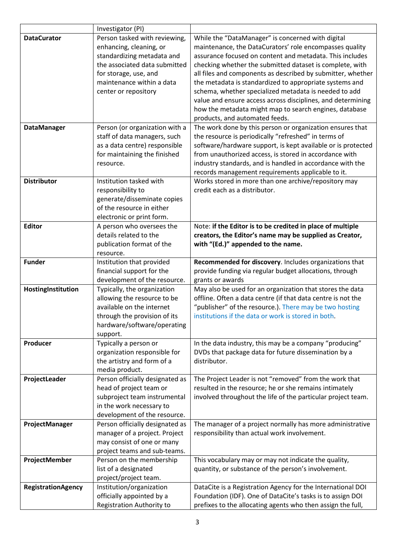|                           | Investigator (PI)                                                                                                                                                                                     |                                                                                                                                                                                                                                                                                                                                                                                                                                                                                        |
|---------------------------|-------------------------------------------------------------------------------------------------------------------------------------------------------------------------------------------------------|----------------------------------------------------------------------------------------------------------------------------------------------------------------------------------------------------------------------------------------------------------------------------------------------------------------------------------------------------------------------------------------------------------------------------------------------------------------------------------------|
| <b>DataCurator</b>        | Person tasked with reviewing,<br>enhancing, cleaning, or<br>standardizing metadata and<br>the associated data submitted<br>for storage, use, and<br>maintenance within a data<br>center or repository | While the "DataManager" is concerned with digital<br>maintenance, the DataCurators' role encompasses quality<br>assurance focused on content and metadata. This includes<br>checking whether the submitted dataset is complete, with<br>all files and components as described by submitter, whether<br>the metadata is standardized to appropriate systems and<br>schema, whether specialized metadata is needed to add<br>value and ensure access across disciplines, and determining |
|                           |                                                                                                                                                                                                       | how the metadata might map to search engines, database<br>products, and automated feeds.                                                                                                                                                                                                                                                                                                                                                                                               |
| <b>DataManager</b>        | Person (or organization with a<br>staff of data managers, such<br>as a data centre) responsible<br>for maintaining the finished<br>resource.                                                          | The work done by this person or organization ensures that<br>the resource is periodically "refreshed" in terms of<br>software/hardware support, is kept available or is protected<br>from unauthorized access, is stored in accordance with<br>industry standards, and is handled in accordance with the<br>records management requirements applicable to it.                                                                                                                          |
| <b>Distributor</b>        | Institution tasked with<br>responsibility to<br>generate/disseminate copies<br>of the resource in either<br>electronic or print form.                                                                 | Works stored in more than one archive/repository may<br>credit each as a distributor.                                                                                                                                                                                                                                                                                                                                                                                                  |
| <b>Editor</b>             | A person who oversees the<br>details related to the<br>publication format of the<br>resource.                                                                                                         | Note: if the Editor is to be credited in place of multiple<br>creators, the Editor's name may be supplied as Creator,<br>with "(Ed.)" appended to the name.                                                                                                                                                                                                                                                                                                                            |
| <b>Funder</b>             | Institution that provided<br>financial support for the<br>development of the resource.                                                                                                                | Recommended for discovery. Includes organizations that<br>provide funding via regular budget allocations, through<br>grants or awards                                                                                                                                                                                                                                                                                                                                                  |
| HostingInstitution        | Typically, the organization<br>allowing the resource to be<br>available on the internet<br>through the provision of its<br>hardware/software/operating<br>support.                                    | May also be used for an organization that stores the data<br>offline. Often a data centre (if that data centre is not the<br>"publisher" of the resource.). There may be two hosting<br>institutions if the data or work is stored in both.                                                                                                                                                                                                                                            |
| Producer                  | Typically a person or<br>organization responsible for<br>the artistry and form of a<br>media product.                                                                                                 | In the data industry, this may be a company "producing"<br>DVDs that package data for future dissemination by a<br>distributor.                                                                                                                                                                                                                                                                                                                                                        |
| ProjectLeader             | Person officially designated as<br>head of project team or<br>subproject team instrumental<br>in the work necessary to<br>development of the resource.                                                | The Project Leader is not "removed" from the work that<br>resulted in the resource; he or she remains intimately<br>involved throughout the life of the particular project team.                                                                                                                                                                                                                                                                                                       |
| ProjectManager            | Person officially designated as<br>manager of a project. Project<br>may consist of one or many<br>project teams and sub-teams.                                                                        | The manager of a project normally has more administrative<br>responsibility than actual work involvement.                                                                                                                                                                                                                                                                                                                                                                              |
| ProjectMember             | Person on the membership<br>list of a designated<br>project/project team.                                                                                                                             | This vocabulary may or may not indicate the quality,<br>quantity, or substance of the person's involvement.                                                                                                                                                                                                                                                                                                                                                                            |
| <b>RegistrationAgency</b> | Institution/organization<br>officially appointed by a<br>Registration Authority to                                                                                                                    | DataCite is a Registration Agency for the International DOI<br>Foundation (IDF). One of DataCite's tasks is to assign DOI<br>prefixes to the allocating agents who then assign the full,                                                                                                                                                                                                                                                                                               |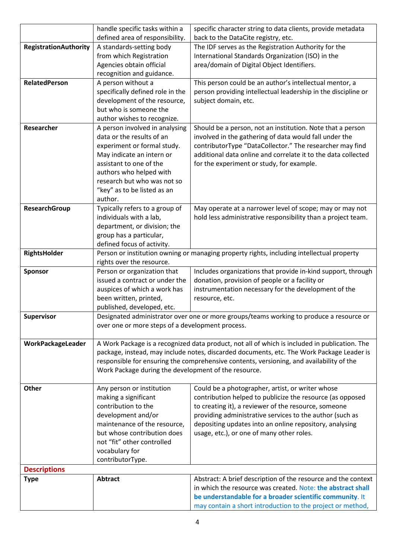|                              | handle specific tasks within a                       | specific character string to data clients, provide metadata                                                             |
|------------------------------|------------------------------------------------------|-------------------------------------------------------------------------------------------------------------------------|
|                              | defined area of responsibility.                      | back to the DataCite registry, etc.                                                                                     |
| <b>RegistrationAuthority</b> | A standards-setting body                             | The IDF serves as the Registration Authority for the                                                                    |
|                              | from which Registration                              | International Standards Organization (ISO) in the                                                                       |
|                              | Agencies obtain official                             | area/domain of Digital Object Identifiers.                                                                              |
|                              | recognition and guidance.                            |                                                                                                                         |
| RelatedPerson                | A person without a                                   | This person could be an author's intellectual mentor, a                                                                 |
|                              | specifically defined role in the                     | person providing intellectual leadership in the discipline or                                                           |
|                              | development of the resource,                         | subject domain, etc.                                                                                                    |
|                              | but who is someone the                               |                                                                                                                         |
|                              | author wishes to recognize.                          |                                                                                                                         |
| Researcher                   | A person involved in analysing                       | Should be a person, not an institution. Note that a person                                                              |
|                              | data or the results of an                            | involved in the gathering of data would fall under the                                                                  |
|                              | experiment or formal study.                          | contributorType "DataCollector." The researcher may find                                                                |
|                              | May indicate an intern or                            | additional data online and correlate it to the data collected                                                           |
|                              | assistant to one of the                              | for the experiment or study, for example.                                                                               |
|                              | authors who helped with                              |                                                                                                                         |
|                              | research but who was not so                          |                                                                                                                         |
|                              | "key" as to be listed as an                          |                                                                                                                         |
|                              | author.                                              |                                                                                                                         |
| ResearchGroup                | Typically refers to a group of                       | May operate at a narrower level of scope; may or may not                                                                |
|                              | individuals with a lab,                              | hold less administrative responsibility than a project team.                                                            |
|                              | department, or division; the                         |                                                                                                                         |
|                              | group has a particular,                              |                                                                                                                         |
|                              | defined focus of activity.                           |                                                                                                                         |
| RightsHolder                 |                                                      | Person or institution owning or managing property rights, including intellectual property                               |
|                              | rights over the resource.                            |                                                                                                                         |
| <b>Sponsor</b>               | Person or organization that                          | Includes organizations that provide in-kind support, through                                                            |
|                              | issued a contract or under the                       | donation, provision of people or a facility or                                                                          |
|                              | auspices of which a work has                         | instrumentation necessary for the development of the                                                                    |
|                              | been written, printed,                               | resource, etc.                                                                                                          |
|                              | published, developed, etc.                           |                                                                                                                         |
| Supervisor                   |                                                      | Designated administrator over one or more groups/teams working to produce a resource or                                 |
|                              | over one or more steps of a development process.     |                                                                                                                         |
|                              |                                                      |                                                                                                                         |
| WorkPackageLeader            |                                                      | A Work Package is a recognized data product, not all of which is included in publication. The                           |
|                              |                                                      | package, instead, may include notes, discarded documents, etc. The Work Package Leader is                               |
|                              |                                                      | responsible for ensuring the comprehensive contents, versioning, and availability of the                                |
|                              | Work Package during the development of the resource. |                                                                                                                         |
| <b>Other</b>                 | Any person or institution                            | Could be a photographer, artist, or writer whose                                                                        |
|                              | making a significant                                 | contribution helped to publicize the resource (as opposed                                                               |
|                              | contribution to the                                  | to creating it), a reviewer of the resource, someone                                                                    |
|                              | development and/or                                   | providing administrative services to the author (such as                                                                |
|                              | maintenance of the resource,                         | depositing updates into an online repository, analysing                                                                 |
|                              | but whose contribution does                          | usage, etc.), or one of many other roles.                                                                               |
|                              | not "fit" other controlled                           |                                                                                                                         |
|                              | vocabulary for                                       |                                                                                                                         |
|                              | contributorType.                                     |                                                                                                                         |
| <b>Descriptions</b>          |                                                      |                                                                                                                         |
| <b>Type</b>                  | <b>Abtract</b>                                       | Abstract: A brief description of the resource and the context                                                           |
|                              |                                                      |                                                                                                                         |
|                              |                                                      |                                                                                                                         |
|                              |                                                      | in which the resource was created. Note: the abstract shall<br>be understandable for a broader scientific community. It |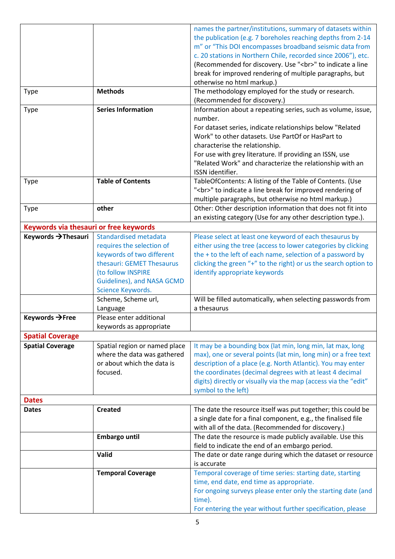|                                        |                               | names the partner/institutions, summary of datasets within      |
|----------------------------------------|-------------------------------|-----------------------------------------------------------------|
|                                        |                               | the publication (e.g. 7 boreholes reaching depths from 2-14     |
|                                        |                               | m" or "This DOI encompasses broadband seismic data from         |
|                                        |                               | c. 20 stations in Northern Chile, recorded since 2006"), etc.   |
|                                        |                               | (Recommended for discovery. Use "<br>" to indicate a line       |
|                                        |                               | break for improved rendering of multiple paragraphs, but        |
|                                        |                               | otherwise no html markup.)                                      |
|                                        | <b>Methods</b>                |                                                                 |
| <b>Type</b>                            |                               | The methodology employed for the study or research.             |
|                                        |                               | (Recommended for discovery.)                                    |
| <b>Type</b>                            | <b>Series Information</b>     | Information about a repeating series, such as volume, issue,    |
|                                        |                               | number.                                                         |
|                                        |                               | For dataset series, indicate relationships below "Related       |
|                                        |                               | Work" to other datasets. Use PartOf or HasPart to               |
|                                        |                               | characterise the relationship.                                  |
|                                        |                               | For use with grey literature. If providing an ISSN, use         |
|                                        |                               | "Related Work" and characterize the relationship with an        |
|                                        |                               | ISSN identifier.                                                |
| <b>Type</b>                            | <b>Table of Contents</b>      | TableOfContents: A listing of the Table of Contents. (Use       |
|                                        |                               | "<br>" to indicate a line break for improved rendering of       |
|                                        |                               | multiple paragraphs, but otherwise no html markup.)             |
| <b>Type</b>                            | other                         | Other: Other description information that does not fit into     |
|                                        |                               | an existing category (Use for any other description type.).     |
| Keywords via thesauri or free keywords |                               |                                                                 |
| Keywords → Thesauri                    | Standardised metadata         | Please select at least one keyword of each thesaurus by         |
|                                        | requires the selection of     | either using the tree (access to lower categories by clicking   |
|                                        | keywords of two different     | the + to the left of each name, selection of a password by      |
|                                        | thesauri: GEMET Thesaurus     | clicking the green "+" to the right) or us the search option to |
|                                        | (to follow INSPIRE            | identify appropriate keywords                                   |
|                                        | Guidelines), and NASA GCMD    |                                                                 |
|                                        | Science Keywords.             |                                                                 |
|                                        | Scheme, Scheme url,           | Will be filled automatically, when selecting passwords from     |
|                                        | Language                      | a thesaurus                                                     |
| Keywords → Free                        | Please enter additional       |                                                                 |
|                                        | keywords as appropriate       |                                                                 |
| <b>Spatial Coverage</b>                |                               |                                                                 |
| <b>Spatial Coverage</b>                | Spatial region or named place | It may be a bounding box (lat min, long min, lat max, long      |
|                                        | where the data was gathered   | max), one or several points (lat min, long min) or a free text  |
|                                        | or about which the data is    | description of a place (e.g. North Atlantic). You may enter     |
|                                        | focused.                      |                                                                 |
|                                        |                               | the coordinates (decimal degrees with at least 4 decimal        |
|                                        |                               | digits) directly or visually via the map (access via the "edit" |
|                                        |                               | symbol to the left)                                             |
| <b>Dates</b>                           |                               |                                                                 |
| <b>Dates</b>                           | <b>Created</b>                | The date the resource itself was put together; this could be    |
|                                        |                               | a single date for a final component, e.g., the finalised file   |
|                                        |                               | with all of the data. (Recommended for discovery.)              |
|                                        | <b>Embargo until</b>          | The date the resource is made publicly available. Use this      |
|                                        |                               | field to indicate the end of an embargo period.                 |
|                                        | Valid                         | The date or date range during which the dataset or resource     |
|                                        |                               | is accurate                                                     |
|                                        | <b>Temporal Coverage</b>      | Temporal coverage of time series: starting date, starting       |
|                                        |                               | time, end date, end time as appropriate.                        |
|                                        |                               | For ongoing surveys please enter only the starting date (and    |
|                                        |                               | time).                                                          |
|                                        |                               | For entering the year without further specification, please     |